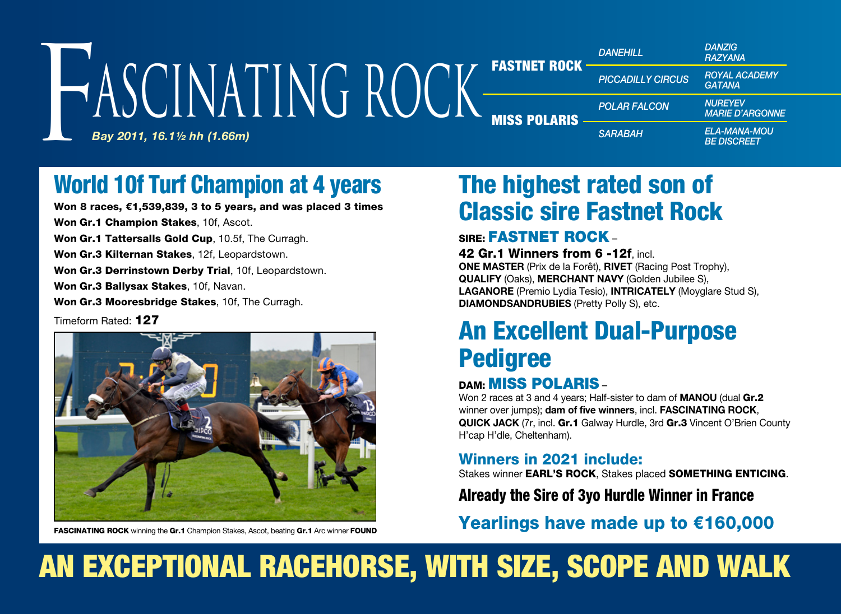#### *Bay 2011, 16.1½ hh (1.66m)* FASTNET ROCK MISS POLARIS *DANZIG RAZYANA ROYAL ACADEMY GATANA NUREYEV MARIE D'ARGONNE ELA-MANA-MOU BE DISCREET DANEHILL PICCADILLY CIRCUS*  $P_{\text{PA}}$ *POLAR FALCON* FASTNET ROCK PICCADILLY CIR<br>*Bay 2011, 16.11/2 hh (1.66m)* ascinating Rock

# World 10f Turf Champion at 4 years

Won 8 races, €1,539,839, 3 to 5 years, and was placed 3 times Won Gr.1 Champion Stakes, 10f, Ascot.

Won Gr.1 Tattersalls Gold Cup, 10.5f, The Curragh. Won Gr.3 Kilternan Stakes, 12f. Leopardstown.

Won Gr.3 Derrinstown Derby Trial, 10f, Leopardstown.

Won Gr.3 Ballysax Stakes, 10f, Navan.

Won Gr.3 Mooresbridge Stakes, 10f. The Curragh.

Timeform Rated: 127



**FASCINATING ROCK** winning the Gr.1 Champion Stakes, Ascot, beating Gr.1 Arc winner FOUND

# The highest rated son of Classic sire Fastnet Rock

### SIRE: FASTNET ROCK –

#### 42 Gr.1 Winners from 6 -12f, incl.

**ONE MASTER** (Prix de la Forêt), **RIVET** (Racing Post Trophy), **QUALIFY** (Oaks), **MERCHANT NAVY** (Golden Jubilee S), **LAGANORE** (Premio Lydia Tesio), **INTRICATELY** (Moyglare Stud S), **DIAMONDSANDRUBIES** (Pretty Polly S), etc.

# An Excellent Dual-Purpose Pedigree

### DAM: MISS POLARIS –

Won 2 races at 3 and 4 years; Half-sister to dam of **MANOU** (dual Gr.2 winner over jumps); **dam of five winners**, incl. **FASCINATING ROCK**, **QUICK JACK** (7r, incl. Gr.1 Galway Hurdle, 3rd Gr.3 Vincent O'Brien County H'cap H'dle, Cheltenham).

#### Winners in 2021 include:

Stakes winner EARL'S ROCK, Stakes placed SOMETHING ENTICING.

## Already the Sire of 3yo Hurdle Winner in France

Yearlings have made up to €160,000

# AN EXCEPTIONAL RACEHORSE, WITH SIZE, SCOPE AND WALK